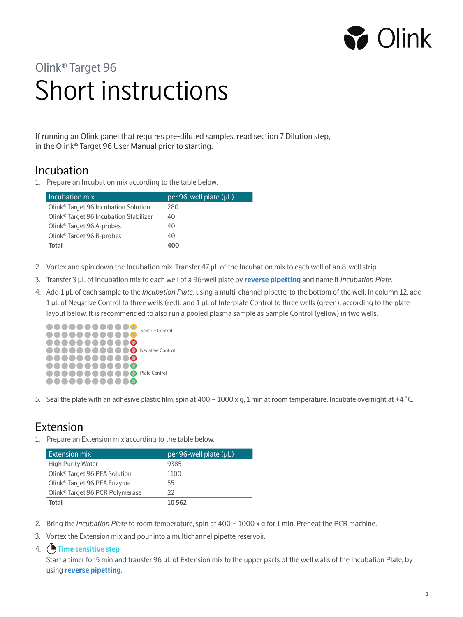

# Short instructions Olink® Target 96

If running an Olink panel that requires pre-diluted samples, read section 7 Dilution step, in the Olink® Target 96 User Manual prior to starting.

# Incubation

1. Prepare an Incubation mix according to the table below.

| Incubation mix                                     | per 96-well plate (µL) |
|----------------------------------------------------|------------------------|
| Olink <sup>®</sup> Target 96 Incubation Solution   | 280                    |
| Olink <sup>®</sup> Target 96 Incubation Stabilizer | 40                     |
| Olink <sup>®</sup> Target 96 A-probes              | 40                     |
| Olink <sup>®</sup> Target 96 B-probes              | 40                     |
| Total                                              | 400                    |

- 2. Vortex and spin down the Incubation mix. Transfer 47 µL of the Incubation mix to each well of an 8-well strip.
- 3. Transfer 3 µL of Incubation mix to each well of a 96-well plate by **reverse pipetting** and name it *Incubation Plate*.
- 4. Add 1 µL of each sample to the *Incubation Plate,* using a multi-channel pipette, to the bottom of the well. In column 12, add 1 µL of Negative Control to three wells (red), and 1 µL of Interplate Control to three wells (green), according to the plate layout below. It is recommended to also run a pooled plasma sample as Sample Control (yellow) in two wells.



5. Seal the plate with an adhesive plastic film, spin at 400 – 1000 x g, 1 min at room temperature. Incubate overnight at +4 °C.

# Extension

1. Prepare an Extension mix according to the table below.

| Extension mix                               | per 96-well plate (µL) |
|---------------------------------------------|------------------------|
| High Purity Water                           | 9385                   |
| Olink <sup>®</sup> Target 96 PEA Solution   | 1100                   |
| Olink <sup>®</sup> Target 96 PEA Enzyme     | 55                     |
| Olink <sup>®</sup> Target 96 PCR Polymerase | 22                     |
| Total                                       | 10 5 62                |

- 2. Bring the *Incubation Plate* to room temperature, spin at 400 1000 x g for 1 min. Preheat the PCR machine.
- 3. Vortex the Extension mix and pour into a multichannel pipette reservoir.

#### 4. **Time sensitive step**

Start a timer for 5 min and transfer 96 µL of Extension mix to the upper parts of the well walls of the Incubation Plate, by using **reverse pipetting**.